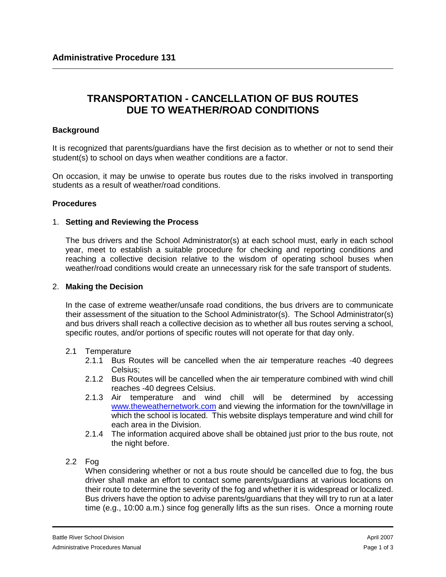# **TRANSPORTATION - CANCELLATION OF BUS ROUTES DUE TO WEATHER/ROAD CONDITIONS**

## **Background**

It is recognized that parents/guardians have the first decision as to whether or not to send their student(s) to school on days when weather conditions are a factor.

On occasion, it may be unwise to operate bus routes due to the risks involved in transporting students as a result of weather/road conditions.

## **Procedures**

## 1. **Setting and Reviewing the Process**

The bus drivers and the School Administrator(s) at each school must, early in each school year, meet to establish a suitable procedure for checking and reporting conditions and reaching a collective decision relative to the wisdom of operating school buses when weather/road conditions would create an unnecessary risk for the safe transport of students.

## 2. **Making the Decision**

In the case of extreme weather/unsafe road conditions, the bus drivers are to communicate their assessment of the situation to the School Administrator(s). The School Administrator(s) and bus drivers shall reach a collective decision as to whether all bus routes serving a school, specific routes, and/or portions of specific routes will not operate for that day only.

## 2.1 Temperature

- 2.1.1 Bus Routes will be cancelled when the air temperature reaches -40 degrees Celsius;
- 2.1.2 Bus Routes will be cancelled when the air temperature combined with wind chill reaches -40 degrees Celsius.
- 2.1.3 Air temperature and wind chill will be determined by accessing [www.theweathernetwork.com](http://www.theweathernetwork.com/) and viewing the information for the town/village in which the school is located. This website displays temperature and wind chill for each area in the Division.
- 2.1.4 The information acquired above shall be obtained just prior to the bus route, not the night before.

## 2.2 Fog

When considering whether or not a bus route should be cancelled due to fog, the bus driver shall make an effort to contact some parents/guardians at various locations on their route to determine the severity of the fog and whether it is widespread or localized. Bus drivers have the option to advise parents/guardians that they will try to run at a later time (e.g., 10:00 a.m.) since fog generally lifts as the sun rises. Once a morning route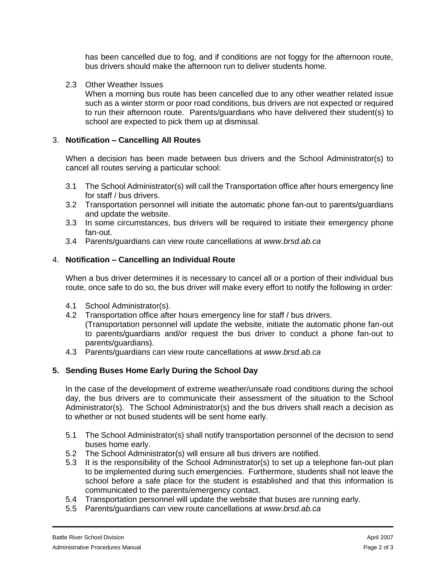has been cancelled due to fog, and if conditions are not foggy for the afternoon route, bus drivers should make the afternoon run to deliver students home.

2.3 Other Weather Issues

When a morning bus route has been cancelled due to any other weather related issue such as a winter storm or poor road conditions, bus drivers are not expected or required to run their afternoon route. Parents/guardians who have delivered their student(s) to school are expected to pick them up at dismissal.

#### 3. **Notification – Cancelling All Routes**

When a decision has been made between bus drivers and the School Administrator(s) to cancel all routes serving a particular school:

- 3.1 The School Administrator(s) will call the Transportation office after hours emergency line for staff / bus drivers.
- 3.2 Transportation personnel will initiate the automatic phone fan-out to parents/guardians and update the website.
- 3.3 In some circumstances, bus drivers will be required to initiate their emergency phone fan-out.
- 3.4 Parents/guardians can view route cancellations at *www.brsd.ab.ca*

#### 4. **Notification – Cancelling an Individual Route**

When a bus driver determines it is necessary to cancel all or a portion of their individual bus route, once safe to do so, the bus driver will make every effort to notify the following in order:

- 4.1 School Administrator(s).
- 4.2 Transportation office after hours emergency line for staff / bus drivers.

(Transportation personnel will update the website, initiate the automatic phone fan-out to parents/guardians and/or request the bus driver to conduct a phone fan-out to parents/guardians).

4.3 Parents/guardians can view route cancellations at *www.brsd.ab.ca*

## **5. Sending Buses Home Early During the School Day**

In the case of the development of extreme weather/unsafe road conditions during the school day, the bus drivers are to communicate their assessment of the situation to the School Administrator(s). The School Administrator(s) and the bus drivers shall reach a decision as to whether or not bused students will be sent home early.

- 5.1 The School Administrator(s) shall notify transportation personnel of the decision to send buses home early.
- 5.2 The School Administrator(s) will ensure all bus drivers are notified.
- 5.3 It is the responsibility of the School Administrator(s) to set up a telephone fan-out plan to be implemented during such emergencies. Furthermore, students shall not leave the school before a safe place for the student is established and that this information is communicated to the parents/emergency contact.
- 5.4 Transportation personnel will update the website that buses are running early.
- 5.5 Parents/guardians can view route cancellations at *www.brsd.ab.ca*